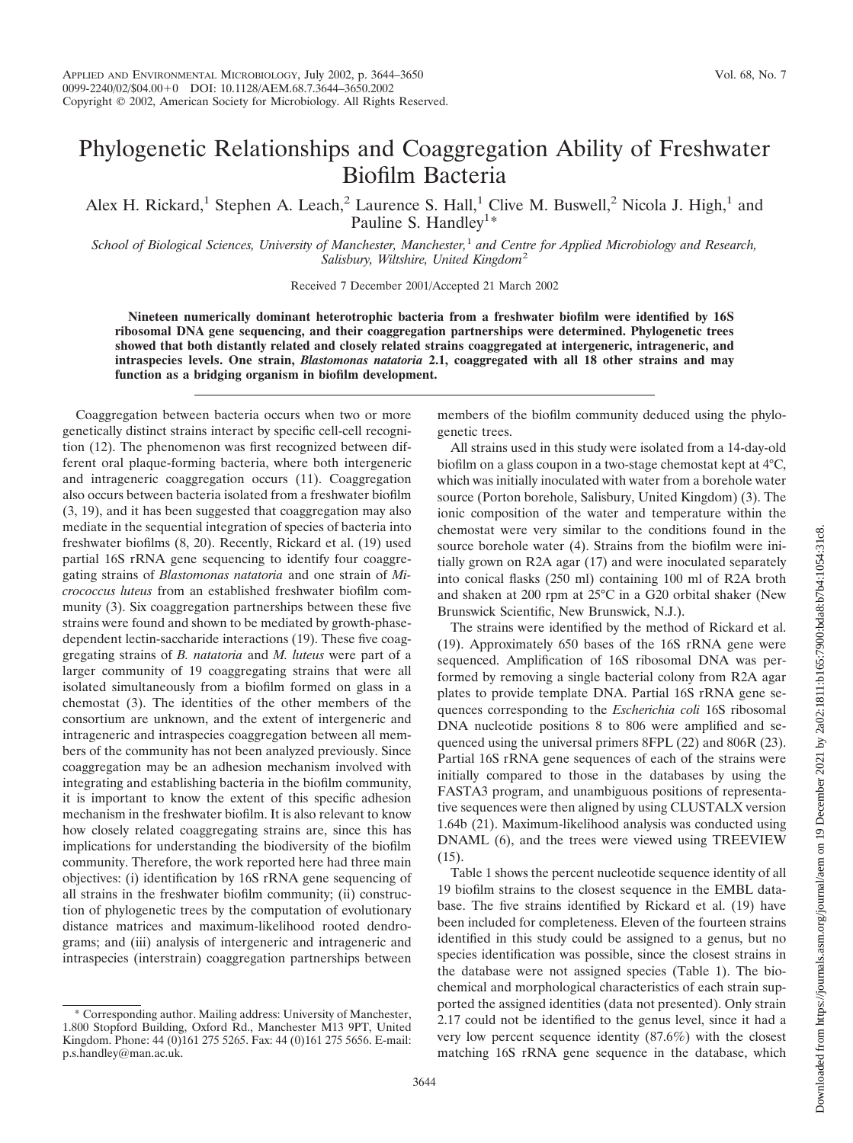## Phylogenetic Relationships and Coaggregation Ability of Freshwater Biofilm Bacteria

Alex H. Rickard,<sup>1</sup> Stephen A. Leach,<sup>2</sup> Laurence S. Hall,<sup>1</sup> Clive M. Buswell,<sup>2</sup> Nicola J. High,<sup>1</sup> and Pauline S. Handley<sup>1\*</sup>

*School of Biological Sciences, University of Manchester, Manchester,*<sup>1</sup> *and Centre for Applied Microbiology and Research, Salisbury, Wiltshire, United Kingdom*<sup>2</sup>

Received 7 December 2001/Accepted 21 March 2002

**Nineteen numerically dominant heterotrophic bacteria from a freshwater biofilm were identified by 16S ribosomal DNA gene sequencing, and their coaggregation partnerships were determined. Phylogenetic trees showed that both distantly related and closely related strains coaggregated at intergeneric, intrageneric, and intraspecies levels. One strain,** *Blastomonas natatoria* **2.1, coaggregated with all 18 other strains and may function as a bridging organism in biofilm development.**

Coaggregation between bacteria occurs when two or more genetically distinct strains interact by specific cell-cell recognition (12). The phenomenon was first recognized between different oral plaque-forming bacteria, where both intergeneric and intrageneric coaggregation occurs (11). Coaggregation also occurs between bacteria isolated from a freshwater biofilm (3, 19), and it has been suggested that coaggregation may also mediate in the sequential integration of species of bacteria into freshwater biofilms (8, 20). Recently, Rickard et al. (19) used partial 16S rRNA gene sequencing to identify four coaggregating strains of *Blastomonas natatoria* and one strain of *Micrococcus luteus* from an established freshwater biofilm community (3). Six coaggregation partnerships between these five strains were found and shown to be mediated by growth-phasedependent lectin-saccharide interactions (19). These five coaggregating strains of *B. natatoria* and *M. luteus* were part of a larger community of 19 coaggregating strains that were all isolated simultaneously from a biofilm formed on glass in a chemostat (3). The identities of the other members of the consortium are unknown, and the extent of intergeneric and intrageneric and intraspecies coaggregation between all members of the community has not been analyzed previously. Since coaggregation may be an adhesion mechanism involved with integrating and establishing bacteria in the biofilm community, it is important to know the extent of this specific adhesion mechanism in the freshwater biofilm. It is also relevant to know how closely related coaggregating strains are, since this has implications for understanding the biodiversity of the biofilm community. Therefore, the work reported here had three main objectives: (i) identification by 16S rRNA gene sequencing of all strains in the freshwater biofilm community; (ii) construction of phylogenetic trees by the computation of evolutionary distance matrices and maximum-likelihood rooted dendrograms; and (iii) analysis of intergeneric and intrageneric and intraspecies (interstrain) coaggregation partnerships between

Corresponding author. Mailing address: University of Manchester, 1.800 Stopford Building, Oxford Rd., Manchester M13 9PT, United Kingdom. Phone: 44 (0)161 275 5265. Fax: 44 (0)161 275 5656. E-mail: p.s.handley@man.ac.uk.

members of the biofilm community deduced using the phylogenetic trees.

All strains used in this study were isolated from a 14-day-old biofilm on a glass coupon in a two-stage chemostat kept at 4°C, which was initially inoculated with water from a borehole water source (Porton borehole, Salisbury, United Kingdom) (3). The ionic composition of the water and temperature within the chemostat were very similar to the conditions found in the source borehole water (4). Strains from the biofilm were initially grown on R2A agar (17) and were inoculated separately into conical flasks (250 ml) containing 100 ml of R2A broth and shaken at 200 rpm at 25°C in a G20 orbital shaker (New Brunswick Scientific, New Brunswick, N.J.).

The strains were identified by the method of Rickard et al. (19). Approximately 650 bases of the 16S rRNA gene were sequenced. Amplification of 16S ribosomal DNA was performed by removing a single bacterial colony from R2A agar plates to provide template DNA. Partial 16S rRNA gene sequences corresponding to the *Escherichia coli* 16S ribosomal DNA nucleotide positions 8 to 806 were amplified and sequenced using the universal primers 8FPL (22) and 806R (23). Partial 16S rRNA gene sequences of each of the strains were initially compared to those in the databases by using the FASTA3 program, and unambiguous positions of representative sequences were then aligned by using CLUSTALX version 1.64b (21). Maximum-likelihood analysis was conducted using DNAML (6), and the trees were viewed using TREEVIEW  $(15)$ .

Table 1 shows the percent nucleotide sequence identity of all 19 biofilm strains to the closest sequence in the EMBL database. The five strains identified by Rickard et al. (19) have been included for completeness. Eleven of the fourteen strains identified in this study could be assigned to a genus, but no species identification was possible, since the closest strains in the database were not assigned species (Table 1). The biochemical and morphological characteristics of each strain supported the assigned identities (data not presented). Only strain 2.17 could not be identified to the genus level, since it had a very low percent sequence identity (87.6%) with the closest matching 16S rRNA gene sequence in the database, which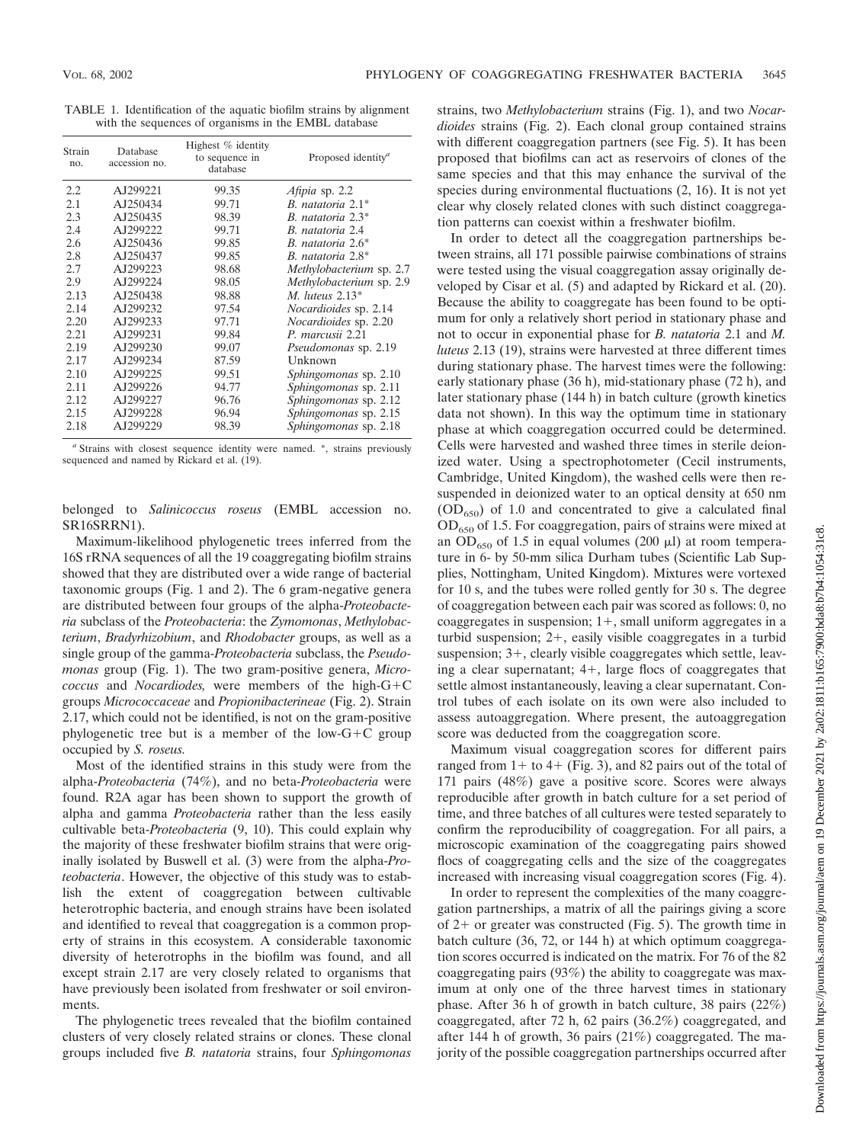TABLE 1. Identification of the aquatic biofilm strains by alignment with the sequences of organisms in the EMBL database

| Strain<br>no. | Database<br>accession no. | Highest % identity<br>to sequence in<br>database | Proposed identity <sup>a</sup> |
|---------------|---------------------------|--------------------------------------------------|--------------------------------|
| 2.2           | AJ299221                  | 99.35                                            | Afipia sp. 2.2                 |
| 2.1           | AJ250434                  | 99.71                                            | B. natatoria $2.1^*$           |
| 2.3           | AJ250435                  | 98.39                                            | B. natatoria 2.3*              |
| 2.4           | AJ299222                  | 99.71                                            | B. natatoria 2.4               |
| 2.6           | AJ250436                  | 99.85                                            | B. natatoria $2.6^*$           |
| 2.8           | AJ250437                  | 99.85                                            | B. natatoria 2.8*              |
| 2.7           | AJ299223                  | 98.68                                            | Methylobacterium sp. 2.7       |
| 2.9           | AJ299224                  | 98.05                                            | Methylobacterium sp. 2.9       |
| 2.13          | AJ250438                  | 98.88                                            | M. luteus $2.13*$              |
| 2.14          | AJ299232                  | 97.54                                            | <i>Nocardioides</i> sp. 2.14   |
| 2.20          | AJ299233                  | 97.71                                            | <i>Nocardioides</i> sp. 2.20   |
| 2.21          | AJ299231                  | 99.84                                            | P. marcusii 2.21               |
| 2.19          | AJ299230                  | 99.07                                            | Pseudomonas sp. 2.19           |
| 2.17          | AJ299234                  | 87.59                                            | Unknown                        |
| 2.10          | AJ299225                  | 99.51                                            | <i>Sphingomonas</i> sp. 2.10   |
| 2.11          | AJ299226                  | 94.77                                            | Sphingomonas sp. 2.11          |
| 2.12          | AJ299227                  | 96.76                                            | Sphingomonas sp. 2.12          |
| 2.15          | AJ299228                  | 96.94                                            | <i>Sphingomonas</i> sp. 2.15   |
| 2.18          | AJ299229                  | 98.39                                            | Sphingomonas sp. 2.18          |

*<sup>a</sup>* Strains with closest sequence identity were named. \*, strains previously sequenced and named by Rickard et al. (19).

belonged to *Salinicoccus roseus* (EMBL accession no. SR16SRRN1).

Maximum-likelihood phylogenetic trees inferred from the 16S rRNA sequences of all the 19 coaggregating biofilm strains showed that they are distributed over a wide range of bacterial taxonomic groups (Fig. 1 and 2). The 6 gram-negative genera are distributed between four groups of the alpha-*Proteobacteria* subclass of the *Proteobacteria*: the *Zymomonas*, *Methylobacterium*, *Bradyrhizobium*, and *Rhodobacter* groups, as well as a single group of the gamma-*Proteobacteria* subclass, the *Pseudomonas* group (Fig. 1). The two gram-positive genera, *Micro* $coccus$  and *Nocardiodes*, were members of the high- $G+C$ groups *Micrococcaceae* and *Propionibacterineae* (Fig. 2). Strain 2.17, which could not be identified, is not on the gram-positive phylogenetic tree but is a member of the low- $G+C$  group occupied by *S. roseus.*

Most of the identified strains in this study were from the alpha-*Proteobacteria* (74%), and no beta-*Proteobacteria* were found. R2A agar has been shown to support the growth of alpha and gamma *Proteobacteria* rather than the less easily cultivable beta-*Proteobacteria* (9, 10). This could explain why the majority of these freshwater biofilm strains that were originally isolated by Buswell et al. (3) were from the alpha-*Proteobacteria*. However, the objective of this study was to establish the extent of coaggregation between cultivable heterotrophic bacteria, and enough strains have been isolated and identified to reveal that coaggregation is a common property of strains in this ecosystem. A considerable taxonomic diversity of heterotrophs in the biofilm was found, and all except strain 2.17 are very closely related to organisms that have previously been isolated from freshwater or soil environments.

The phylogenetic trees revealed that the biofilm contained clusters of very closely related strains or clones. These clonal groups included five *B. natatoria* strains, four *Sphingomonas*

strains, two *Methylobacterium* strains (Fig. 1), and two *Nocardioides* strains (Fig. 2). Each clonal group contained strains with different coaggregation partners (see Fig. 5). It has been proposed that biofilms can act as reservoirs of clones of the same species and that this may enhance the survival of the species during environmental fluctuations (2, 16). It is not yet clear why closely related clones with such distinct coaggregation patterns can coexist within a freshwater biofilm.

In order to detect all the coaggregation partnerships between strains, all 171 possible pairwise combinations of strains were tested using the visual coaggregation assay originally developed by Cisar et al. (5) and adapted by Rickard et al. (20). Because the ability to coaggregate has been found to be optimum for only a relatively short period in stationary phase and not to occur in exponential phase for *B. natatoria* 2.1 and *M. luteus* 2.13 (19), strains were harvested at three different times during stationary phase. The harvest times were the following: early stationary phase (36 h), mid-stationary phase (72 h), and later stationary phase (144 h) in batch culture (growth kinetics data not shown). In this way the optimum time in stationary phase at which coaggregation occurred could be determined. Cells were harvested and washed three times in sterile deionized water. Using a spectrophotometer (Cecil instruments, Cambridge, United Kingdom), the washed cells were then resuspended in deionized water to an optical density at 650 nm  $(OD<sub>650</sub>)$  of 1.0 and concentrated to give a calculated final  $OD_{650}$  of 1.5. For coaggregation, pairs of strains were mixed at an  $OD_{650}$  of 1.5 in equal volumes (200  $\mu$ I) at room temperature in 6- by 50-mm silica Durham tubes (Scientific Lab Supplies, Nottingham, United Kingdom). Mixtures were vortexed for 10 s, and the tubes were rolled gently for 30 s. The degree of coaggregation between each pair was scored as follows: 0, no coaggregates in suspension;  $1+$ , small uniform aggregates in a turbid suspension;  $2+$ , easily visible coaggregates in a turbid suspension;  $3+$ , clearly visible coaggregates which settle, leaving a clear supernatant;  $4+$ , large flocs of coaggregates that settle almost instantaneously, leaving a clear supernatant. Control tubes of each isolate on its own were also included to assess autoaggregation. Where present, the autoaggregation score was deducted from the coaggregation score.

Maximum visual coaggregation scores for different pairs ranged from  $1+$  to  $4+$  (Fig. 3), and 82 pairs out of the total of 171 pairs (48%) gave a positive score. Scores were always reproducible after growth in batch culture for a set period of time, and three batches of all cultures were tested separately to confirm the reproducibility of coaggregation. For all pairs, a microscopic examination of the coaggregating pairs showed flocs of coaggregating cells and the size of the coaggregates increased with increasing visual coaggregation scores (Fig. 4).

In order to represent the complexities of the many coaggregation partnerships, a matrix of all the pairings giving a score of  $2+$  or greater was constructed (Fig. 5). The growth time in batch culture (36, 72, or 144 h) at which optimum coaggregation scores occurred is indicated on the matrix. For 76 of the 82 coaggregating pairs (93%) the ability to coaggregate was maximum at only one of the three harvest times in stationary phase. After 36 h of growth in batch culture, 38 pairs (22%) coaggregated, after 72 h, 62 pairs (36.2%) coaggregated, and after 144 h of growth, 36 pairs (21%) coaggregated. The majority of the possible coaggregation partnerships occurred after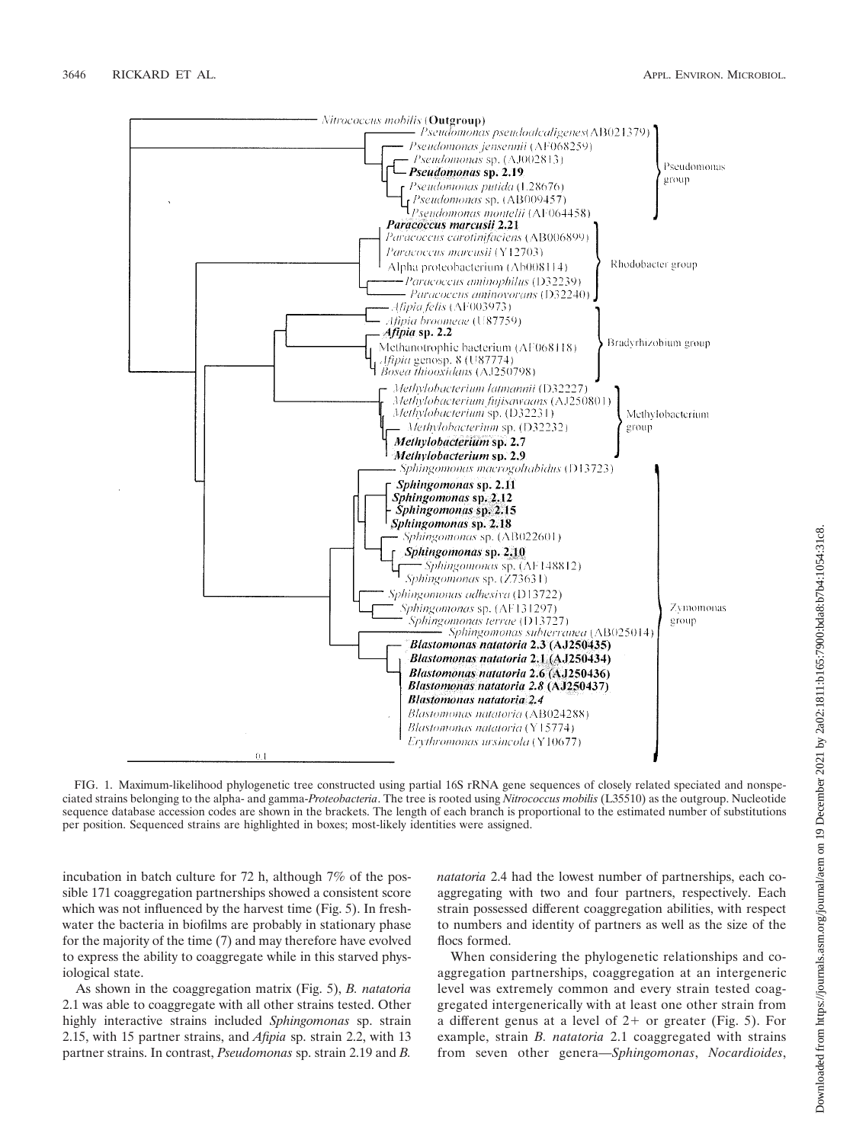

FIG. 1. Maximum-likelihood phylogenetic tree constructed using partial 16S rRNA gene sequences of closely related speciated and nonspeciated strains belonging to the alpha- and gamma-*Proteobacteria*. The tree is rooted using *Nitrococcus mobilis* (L35510) as the outgroup. Nucleotide sequence database accession codes are shown in the brackets. The length of each branch is proportional to the estimated number of substitutions per position. Sequenced strains are highlighted in boxes; most-likely identities were assigned.

incubation in batch culture for 72 h, although 7% of the possible 171 coaggregation partnerships showed a consistent score which was not influenced by the harvest time (Fig. 5). In freshwater the bacteria in biofilms are probably in stationary phase for the majority of the time (7) and may therefore have evolved to express the ability to coaggregate while in this starved physiological state.

As shown in the coaggregation matrix (Fig. 5), *B. natatoria* 2.1 was able to coaggregate with all other strains tested. Other highly interactive strains included *Sphingomonas* sp. strain 2.15, with 15 partner strains, and *Afipia* sp. strain 2.2, with 13 partner strains. In contrast, *Pseudomonas* sp. strain 2.19 and *B.*

*natatoria* 2.4 had the lowest number of partnerships, each coaggregating with two and four partners, respectively. Each strain possessed different coaggregation abilities, with respect to numbers and identity of partners as well as the size of the flocs formed.

When considering the phylogenetic relationships and coaggregation partnerships, coaggregation at an intergeneric level was extremely common and every strain tested coaggregated intergenerically with at least one other strain from a different genus at a level of  $2+$  or greater (Fig. 5). For example, strain *B. natatoria* 2.1 coaggregated with strains from seven other genera—*Sphingomonas*, *Nocardioides*,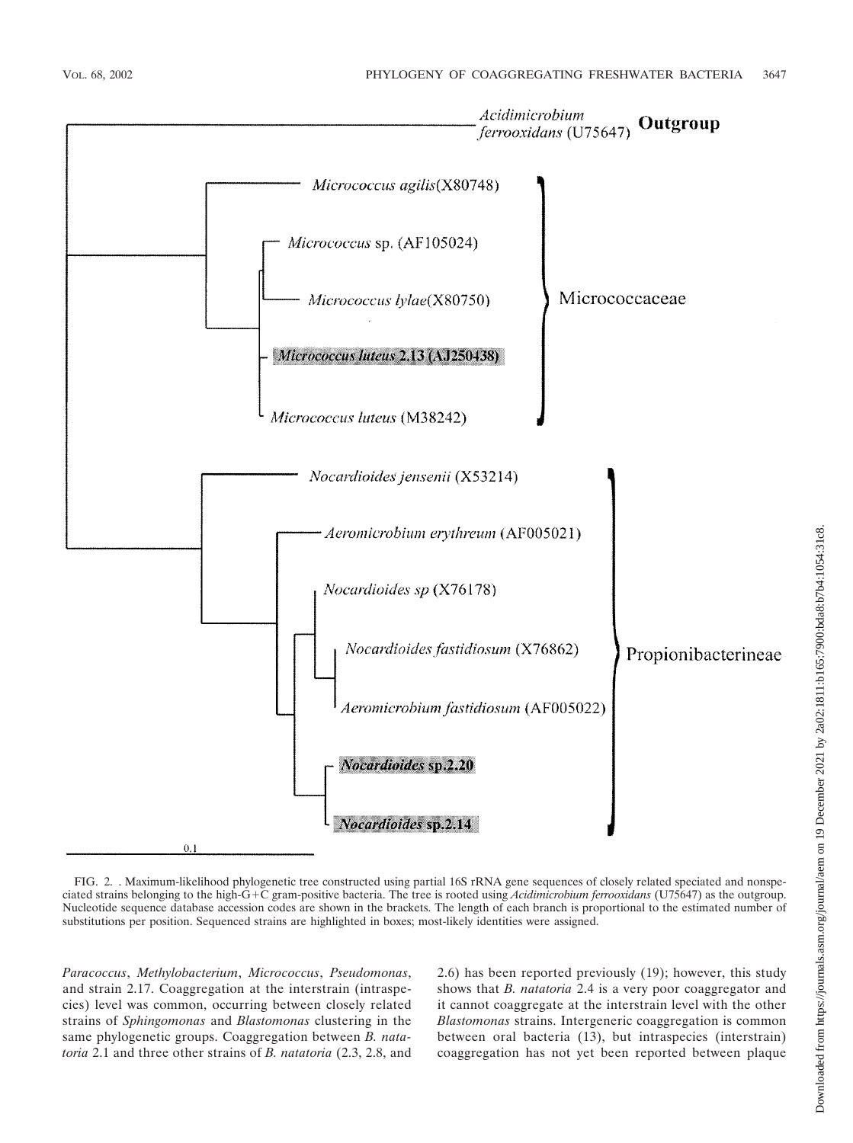

FIG. 2. . Maximum-likelihood phylogenetic tree constructed using partial 16S rRNA gene sequences of closely related speciated and nonspeciated strains belonging to the high-G+C gram-positive bacteria. The tree is rooted using *Acidimicrobium ferrooxidans* (U75647) as the outgroup. Nucleotide sequence database accession codes are shown in the brackets. The length of each branch is proportional to the estimated number of substitutions per position. Sequenced strains are highlighted in boxes; most-likely identities were assigned.

*Paracoccus*, *Methylobacterium*, *Micrococcus*, *Pseudomonas*, and strain 2.17. Coaggregation at the interstrain (intraspecies) level was common, occurring between closely related strains of *Sphingomonas* and *Blastomonas* clustering in the same phylogenetic groups. Coaggregation between *B. natatoria* 2.1 and three other strains of *B. natatoria* (2.3, 2.8, and 2.6) has been reported previously (19); however, this study shows that *B. natatoria* 2.4 is a very poor coaggregator and it cannot coaggregate at the interstrain level with the other *Blastomonas* strains. Intergeneric coaggregation is common between oral bacteria (13), but intraspecies (interstrain) coaggregation has not yet been reported between plaque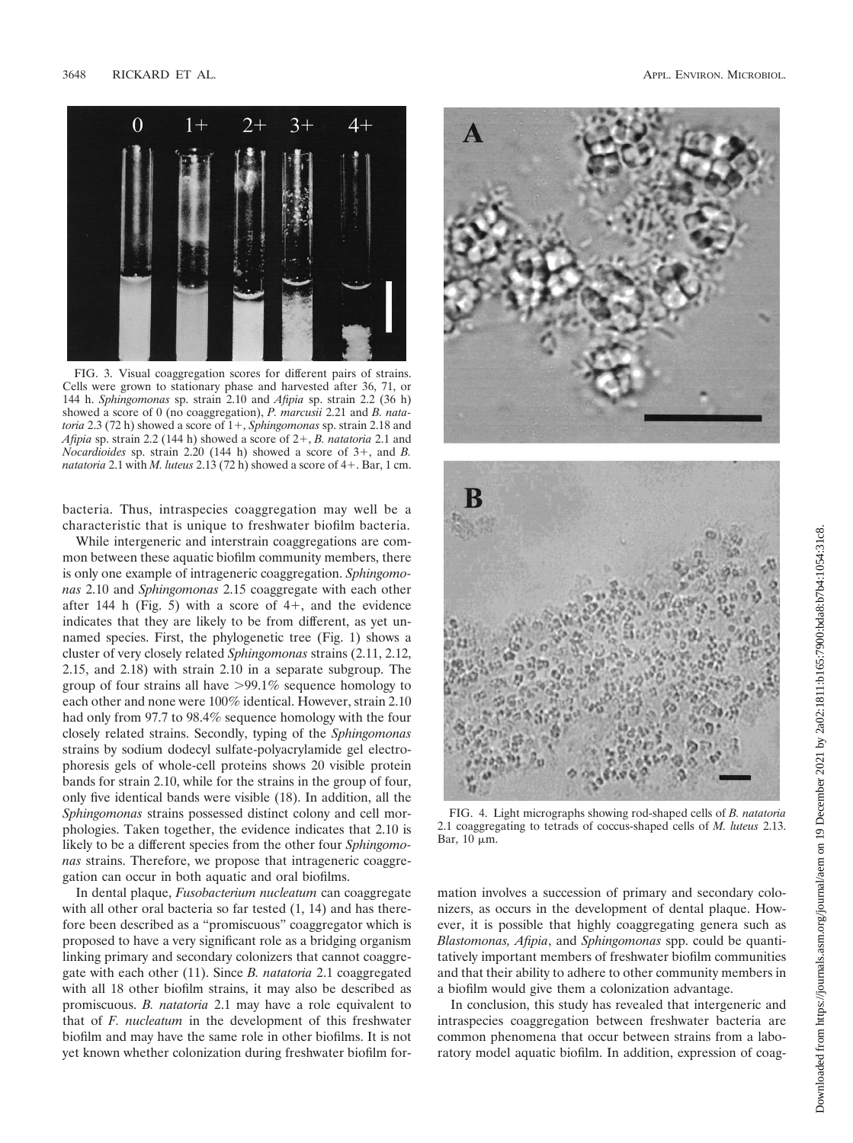

FIG. 3. Visual coaggregation scores for different pairs of strains. Cells were grown to stationary phase and harvested after 36, 71, or 144 h. *Sphingomonas* sp. strain 2.10 and *Afipia* sp. strain 2.2 (36 h) showed a score of 0 (no coaggregation), *P. marcusii* 2.21 and *B. natatoria* 2.3 (72 h) showed a score of  $1+$ , *Sphingomonas* sp. strain 2.18 and *Afipia* sp. strain 2.2 (144 h) showed a score of  $2+$ , *B. natatoria* 2.1 and *Nocardioides* sp. strain 2.20 (144 h) showed a score of  $3+$ , and *B*. *natatoria* 2.1 with *M. luteus* 2.13 (72 h) showed a score of  $4+$ . Bar, 1 cm.

bacteria. Thus, intraspecies coaggregation may well be a characteristic that is unique to freshwater biofilm bacteria.

While intergeneric and interstrain coaggregations are common between these aquatic biofilm community members, there is only one example of intrageneric coaggregation. *Sphingomonas* 2.10 and *Sphingomonas* 2.15 coaggregate with each other after 144 h (Fig. 5) with a score of  $4+$ , and the evidence indicates that they are likely to be from different, as yet unnamed species. First, the phylogenetic tree (Fig. 1) shows a cluster of very closely related *Sphingomonas* strains (2.11, 2.12, 2.15, and 2.18) with strain 2.10 in a separate subgroup. The group of four strains all have  $>99.1\%$  sequence homology to each other and none were 100% identical. However, strain 2.10 had only from 97.7 to 98.4% sequence homology with the four closely related strains. Secondly, typing of the *Sphingomonas* strains by sodium dodecyl sulfate-polyacrylamide gel electrophoresis gels of whole-cell proteins shows 20 visible protein bands for strain 2.10, while for the strains in the group of four, only five identical bands were visible (18). In addition, all the *Sphingomonas* strains possessed distinct colony and cell morphologies. Taken together, the evidence indicates that 2.10 is likely to be a different species from the other four *Sphingomonas* strains. Therefore, we propose that intrageneric coaggregation can occur in both aquatic and oral biofilms.

In dental plaque, *Fusobacterium nucleatum* can coaggregate with all other oral bacteria so far tested (1, 14) and has therefore been described as a "promiscuous" coaggregator which is proposed to have a very significant role as a bridging organism linking primary and secondary colonizers that cannot coaggregate with each other (11). Since *B. natatoria* 2.1 coaggregated with all 18 other biofilm strains, it may also be described as promiscuous. *B. natatoria* 2.1 may have a role equivalent to that of *F. nucleatum* in the development of this freshwater biofilm and may have the same role in other biofilms. It is not yet known whether colonization during freshwater biofilm for-





FIG. 4. Light micrographs showing rod-shaped cells of *B. natatoria* 2.1 coaggregating to tetrads of coccus-shaped cells of *M. luteus* 2.13. Bar,  $10 \mu m$ .

mation involves a succession of primary and secondary colonizers, as occurs in the development of dental plaque. However, it is possible that highly coaggregating genera such as *Blastomonas, Afipia*, and *Sphingomonas* spp. could be quantitatively important members of freshwater biofilm communities and that their ability to adhere to other community members in a biofilm would give them a colonization advantage.

In conclusion, this study has revealed that intergeneric and intraspecies coaggregation between freshwater bacteria are common phenomena that occur between strains from a laboratory model aquatic biofilm. In addition, expression of coag-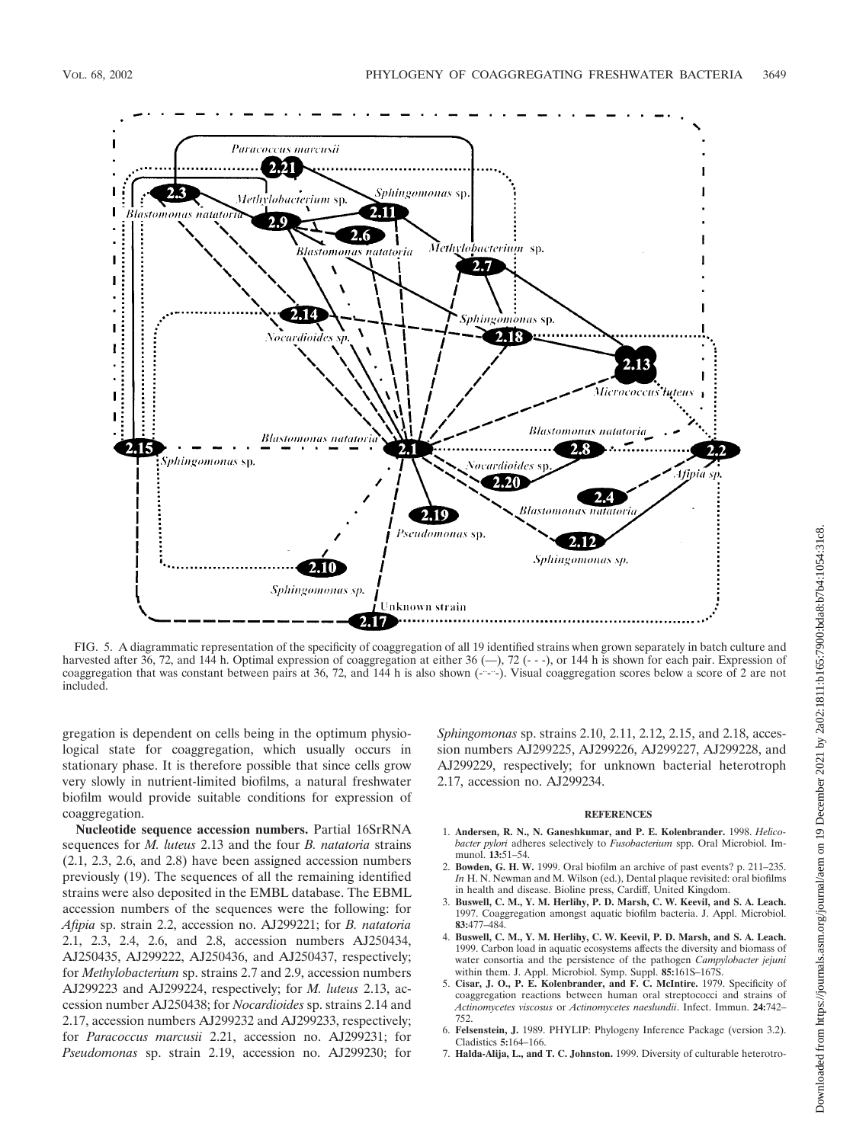

FIG. 5. A diagrammatic representation of the specificity of coaggregation of all 19 identified strains when grown separately in batch culture and harvested after 36, 72, and 144 h. Optimal expression of coaggregation at either 36 (-), 72 (---), or 144 h is shown for each pair. Expression of coaggregation that was constant between pairs at 36, 72, and 144 h is also shown  $(-,-)$ . Visual coaggregation scores below a score of 2 are not included.

gregation is dependent on cells being in the optimum physiological state for coaggregation, which usually occurs in stationary phase. It is therefore possible that since cells grow very slowly in nutrient-limited biofilms, a natural freshwater biofilm would provide suitable conditions for expression of coaggregation.

**Nucleotide sequence accession numbers.** Partial 16SrRNA sequences for *M. luteus* 2.13 and the four *B. natatoria* strains (2.1, 2.3, 2.6, and 2.8) have been assigned accession numbers previously (19). The sequences of all the remaining identified strains were also deposited in the EMBL database. The EBML accession numbers of the sequences were the following: for *Afipia* sp. strain 2.2, accession no. AJ299221; for *B. natatoria* 2.1, 2.3, 2.4, 2.6, and 2.8, accession numbers AJ250434, AJ250435, AJ299222, AJ250436, and AJ250437, respectively; for *Methylobacterium* sp. strains 2.7 and 2.9, accession numbers AJ299223 and AJ299224, respectively; for *M. luteus* 2.13, accession number AJ250438; for *Nocardioides* sp. strains 2.14 and 2.17, accession numbers AJ299232 and AJ299233, respectively; for *Paracoccus marcusii* 2.21, accession no. AJ299231; for *Pseudomonas* sp. strain 2.19, accession no. AJ299230; for *Sphingomonas* sp. strains 2.10, 2.11, 2.12, 2.15, and 2.18, accession numbers AJ299225, AJ299226, AJ299227, AJ299228, and AJ299229, respectively; for unknown bacterial heterotroph 2.17, accession no. AJ299234.

## **REFERENCES**

- 1. **Andersen, R. N., N. Ganeshkumar, and P. E. Kolenbrander.** 1998. *Helicobacter pylori* adheres selectively to *Fusobacterium* spp. Oral Microbiol. Immunol. **13:**51–54.
- 2. **Bowden, G. H. W.** 1999. Oral biofilm an archive of past events? p. 211–235. *In* H. N. Newman and M. Wilson (ed.), Dental plaque revisited: oral biofilms in health and disease. Bioline press, Cardiff, United Kingdom.
- 3. **Buswell, C. M., Y. M. Herlihy, P. D. Marsh, C. W. Keevil, and S. A. Leach.** 1997. Coaggregation amongst aquatic biofilm bacteria. J. Appl. Microbiol. **83:**477–484.
- 4. **Buswell, C. M., Y. M. Herlihy, C. W. Keevil, P. D. Marsh, and S. A. Leach.** 1999. Carbon load in aquatic ecosystems affects the diversity and biomass of water consortia and the persistence of the pathogen *Campylobacter jejuni* within them. J. Appl. Microbiol. Symp. Suppl. **85:**161S–167S.
- 5. **Cisar, J. O., P. E. Kolenbrander, and F. C. McIntire.** 1979. Specificity of coaggregation reactions between human oral streptococci and strains of *Actinomycetes viscosus* or *Actinomycetes naeslundii*. Infect. Immun. **24:**742– 752.
- 6. **Felsenstein, J.** 1989. PHYLIP: Phylogeny Inference Package (version 3.2). Cladistics **5:**164–166.
- 7. **Halda-Alija, L., and T. C. Johnston.** 1999. Diversity of culturable heterotro-